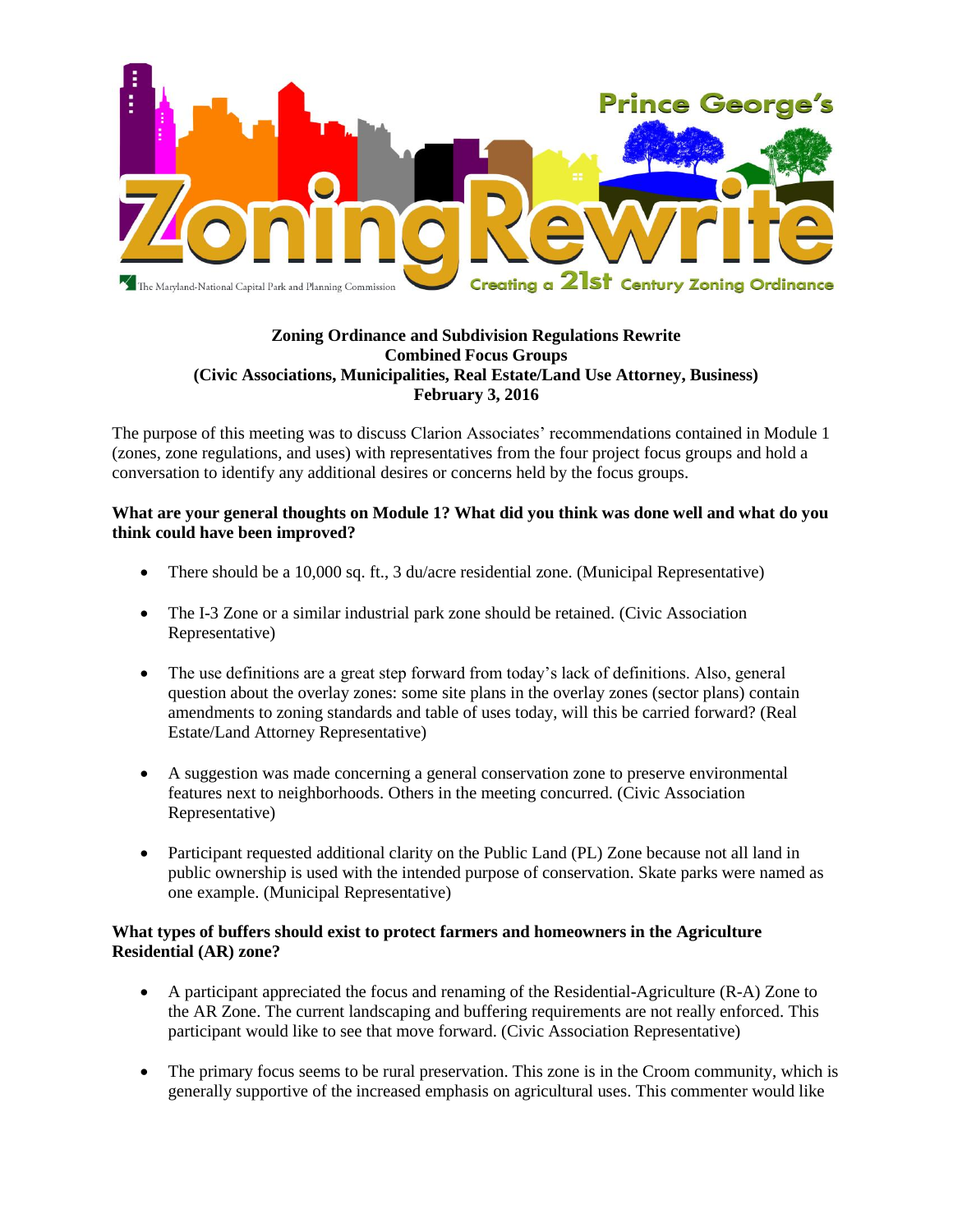

# **Zoning Ordinance and Subdivision Regulations Rewrite Combined Focus Groups (Civic Associations, Municipalities, Real Estate/Land Use Attorney, Business) February 3, 2016**

The purpose of this meeting was to discuss Clarion Associates' recommendations contained in Module 1 (zones, zone regulations, and uses) with representatives from the four project focus groups and hold a conversation to identify any additional desires or concerns held by the focus groups.

## **What are your general thoughts on Module 1? What did you think was done well and what do you think could have been improved?**

- There should be a 10,000 sq. ft., 3 du/acre residential zone. (Municipal Representative)
- The I-3 Zone or a similar industrial park zone should be retained. (Civic Association Representative)
- The use definitions are a great step forward from today's lack of definitions. Also, general question about the overlay zones: some site plans in the overlay zones (sector plans) contain amendments to zoning standards and table of uses today, will this be carried forward? (Real Estate/Land Attorney Representative)
- A suggestion was made concerning a general conservation zone to preserve environmental features next to neighborhoods. Others in the meeting concurred. (Civic Association Representative)
- Participant requested additional clarity on the Public Land (PL) Zone because not all land in public ownership is used with the intended purpose of conservation. Skate parks were named as one example. (Municipal Representative)

## **What types of buffers should exist to protect farmers and homeowners in the Agriculture Residential (AR) zone?**

- A participant appreciated the focus and renaming of the Residential-Agriculture (R-A) Zone to the AR Zone. The current landscaping and buffering requirements are not really enforced. This participant would like to see that move forward. (Civic Association Representative)
- The primary focus seems to be rural preservation. This zone is in the Croom community, which is generally supportive of the increased emphasis on agricultural uses. This commenter would like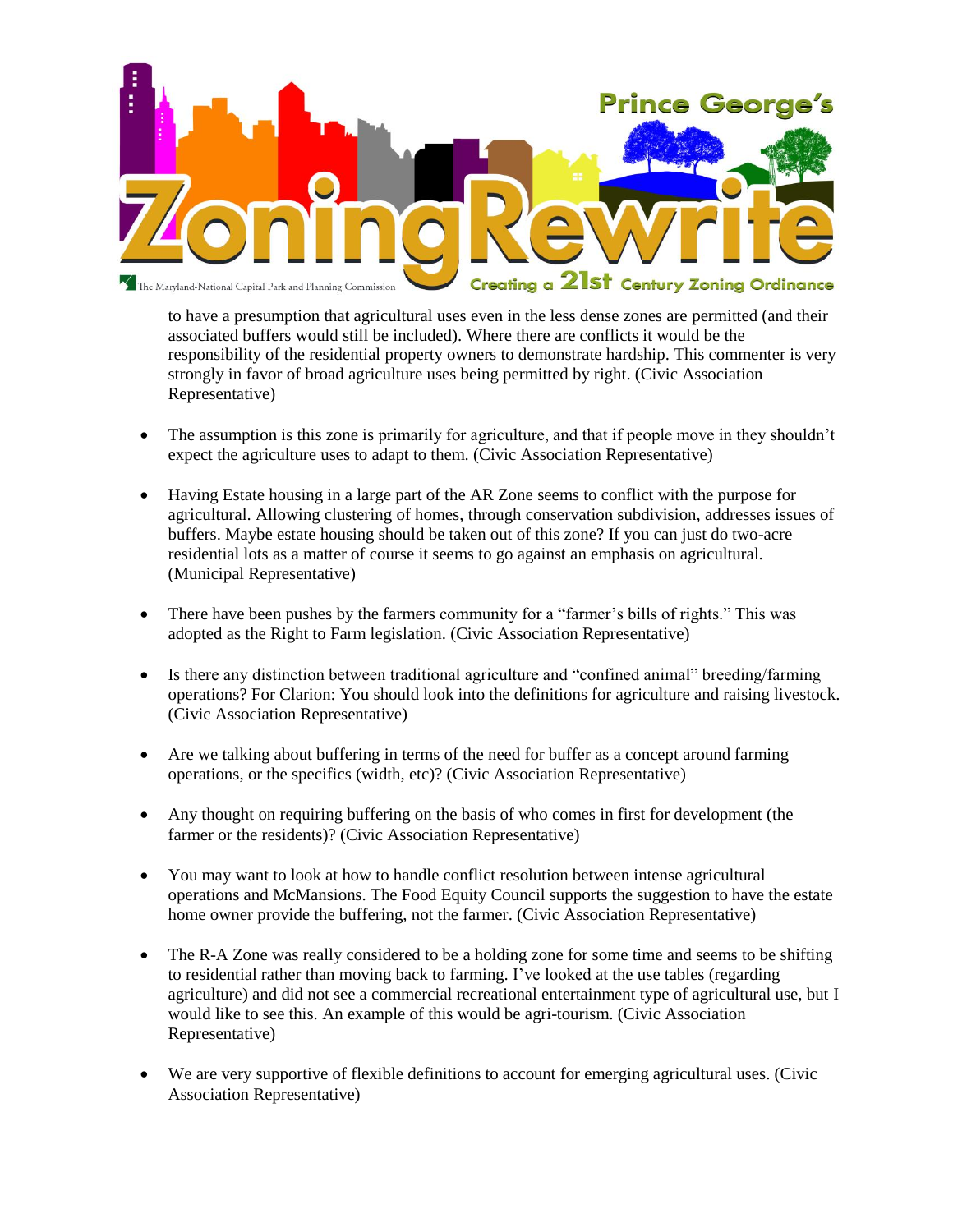

to have a presumption that agricultural uses even in the less dense zones are permitted (and their associated buffers would still be included). Where there are conflicts it would be the responsibility of the residential property owners to demonstrate hardship. This commenter is very strongly in favor of broad agriculture uses being permitted by right. (Civic Association Representative)

- The assumption is this zone is primarily for agriculture, and that if people move in they shouldn't expect the agriculture uses to adapt to them. (Civic Association Representative)
- Having Estate housing in a large part of the AR Zone seems to conflict with the purpose for agricultural. Allowing clustering of homes, through conservation subdivision, addresses issues of buffers. Maybe estate housing should be taken out of this zone? If you can just do two-acre residential lots as a matter of course it seems to go against an emphasis on agricultural. (Municipal Representative)
- There have been pushes by the farmers community for a "farmer's bills of rights." This was adopted as the Right to Farm legislation. (Civic Association Representative)
- Is there any distinction between traditional agriculture and "confined animal" breeding/farming operations? For Clarion: You should look into the definitions for agriculture and raising livestock. (Civic Association Representative)
- Are we talking about buffering in terms of the need for buffer as a concept around farming operations, or the specifics (width, etc)? (Civic Association Representative)
- Any thought on requiring buffering on the basis of who comes in first for development (the farmer or the residents)? (Civic Association Representative)
- You may want to look at how to handle conflict resolution between intense agricultural operations and McMansions. The Food Equity Council supports the suggestion to have the estate home owner provide the buffering, not the farmer. (Civic Association Representative)
- The R-A Zone was really considered to be a holding zone for some time and seems to be shifting to residential rather than moving back to farming. I've looked at the use tables (regarding agriculture) and did not see a commercial recreational entertainment type of agricultural use, but I would like to see this. An example of this would be agri-tourism. (Civic Association Representative)
- We are very supportive of flexible definitions to account for emerging agricultural uses. (Civic Association Representative)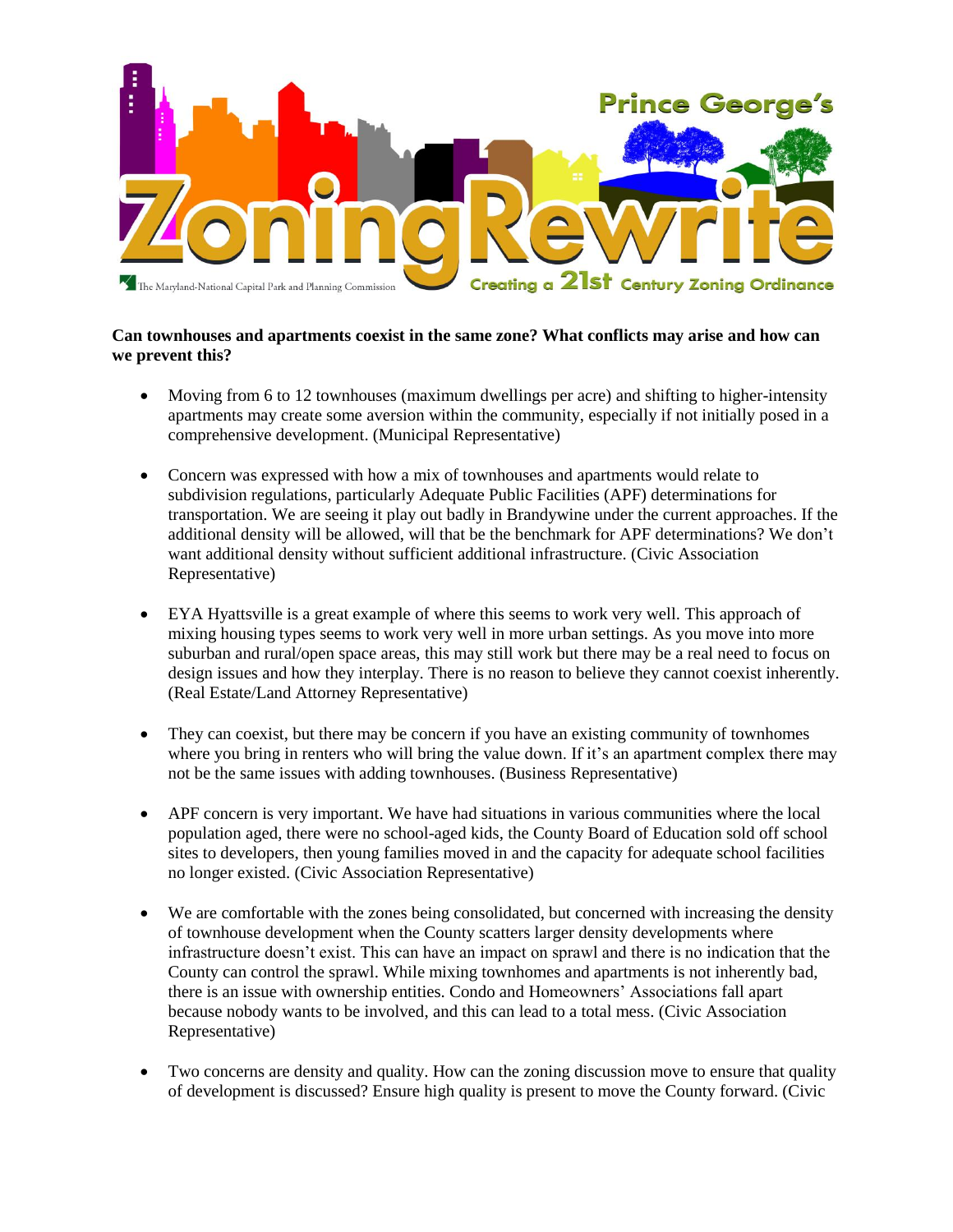

### **Can townhouses and apartments coexist in the same zone? What conflicts may arise and how can we prevent this?**

- Moving from 6 to 12 townhouses (maximum dwellings per acre) and shifting to higher-intensity apartments may create some aversion within the community, especially if not initially posed in a comprehensive development. (Municipal Representative)
- Concern was expressed with how a mix of townhouses and apartments would relate to subdivision regulations, particularly Adequate Public Facilities (APF) determinations for transportation. We are seeing it play out badly in Brandywine under the current approaches. If the additional density will be allowed, will that be the benchmark for APF determinations? We don't want additional density without sufficient additional infrastructure. (Civic Association Representative)
- EYA Hyattsville is a great example of where this seems to work very well. This approach of mixing housing types seems to work very well in more urban settings. As you move into more suburban and rural/open space areas, this may still work but there may be a real need to focus on design issues and how they interplay. There is no reason to believe they cannot coexist inherently. (Real Estate/Land Attorney Representative)
- They can coexist, but there may be concern if you have an existing community of townhomes where you bring in renters who will bring the value down. If it's an apartment complex there may not be the same issues with adding townhouses. (Business Representative)
- APF concern is very important. We have had situations in various communities where the local population aged, there were no school-aged kids, the County Board of Education sold off school sites to developers, then young families moved in and the capacity for adequate school facilities no longer existed. (Civic Association Representative)
- We are comfortable with the zones being consolidated, but concerned with increasing the density of townhouse development when the County scatters larger density developments where infrastructure doesn't exist. This can have an impact on sprawl and there is no indication that the County can control the sprawl. While mixing townhomes and apartments is not inherently bad, there is an issue with ownership entities. Condo and Homeowners' Associations fall apart because nobody wants to be involved, and this can lead to a total mess. (Civic Association Representative)
- Two concerns are density and quality. How can the zoning discussion move to ensure that quality of development is discussed? Ensure high quality is present to move the County forward. (Civic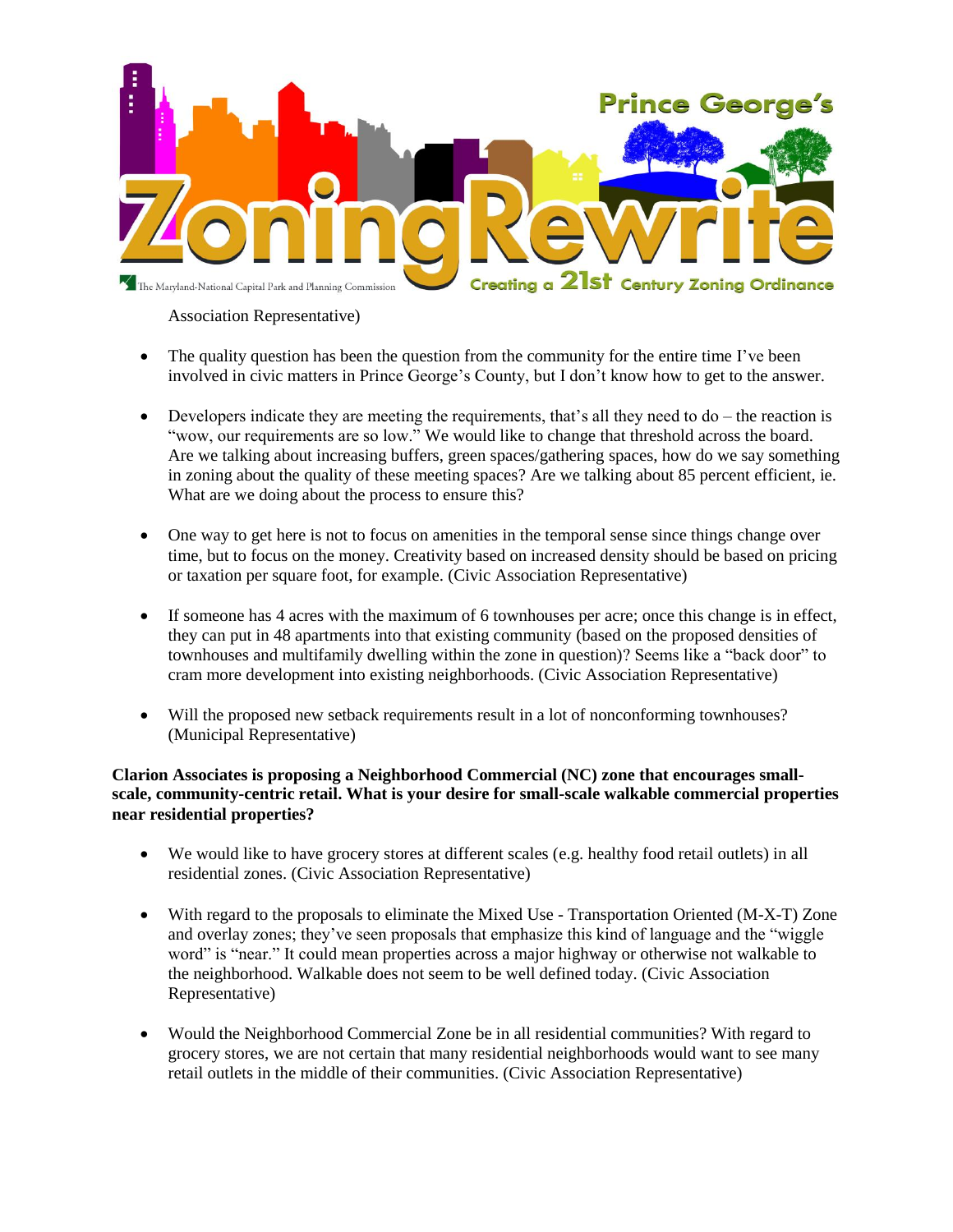

### Association Representative)

- The quality question has been the question from the community for the entire time I've been involved in civic matters in Prince George's County, but I don't know how to get to the answer.
- $\bullet$  Developers indicate they are meeting the requirements, that's all they need to do the reaction is "wow, our requirements are so low." We would like to change that threshold across the board. Are we talking about increasing buffers, green spaces/gathering spaces, how do we say something in zoning about the quality of these meeting spaces? Are we talking about 85 percent efficient, ie. What are we doing about the process to ensure this?
- One way to get here is not to focus on amenities in the temporal sense since things change over time, but to focus on the money. Creativity based on increased density should be based on pricing or taxation per square foot, for example. (Civic Association Representative)
- If someone has 4 acres with the maximum of 6 townhouses per acre; once this change is in effect, they can put in 48 apartments into that existing community (based on the proposed densities of townhouses and multifamily dwelling within the zone in question)? Seems like a "back door" to cram more development into existing neighborhoods. (Civic Association Representative)
- Will the proposed new setback requirements result in a lot of nonconforming townhouses? (Municipal Representative)

## **Clarion Associates is proposing a Neighborhood Commercial (NC) zone that encourages smallscale, community-centric retail. What is your desire for small-scale walkable commercial properties near residential properties?**

- We would like to have grocery stores at different scales (e.g. healthy food retail outlets) in all residential zones. (Civic Association Representative)
- With regard to the proposals to eliminate the Mixed Use Transportation Oriented (M-X-T) Zone and overlay zones; they've seen proposals that emphasize this kind of language and the "wiggle word" is "near." It could mean properties across a major highway or otherwise not walkable to the neighborhood. Walkable does not seem to be well defined today. (Civic Association Representative)
- Would the Neighborhood Commercial Zone be in all residential communities? With regard to grocery stores, we are not certain that many residential neighborhoods would want to see many retail outlets in the middle of their communities. (Civic Association Representative)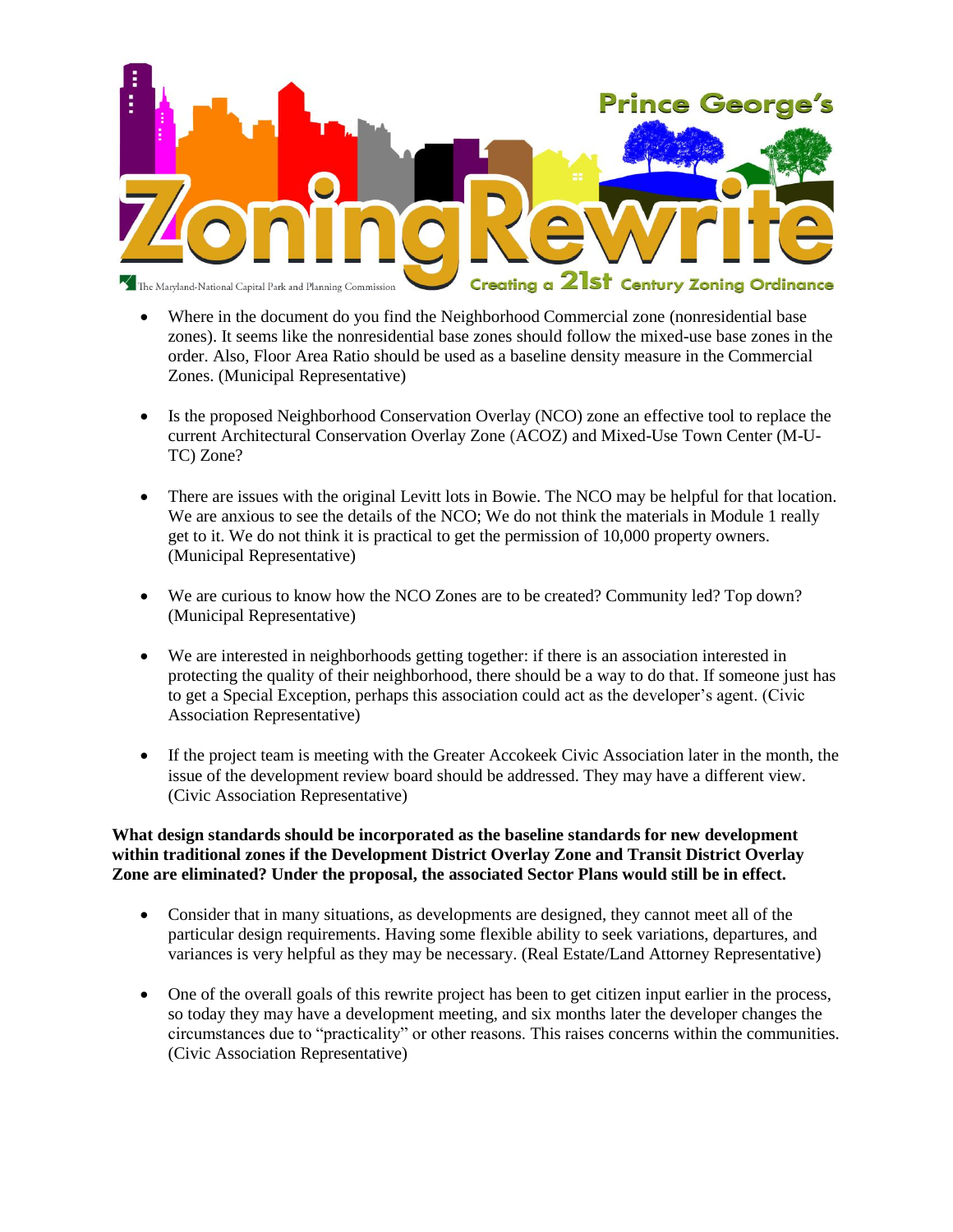

- Where in the document do you find the Neighborhood Commercial zone (nonresidential base zones). It seems like the nonresidential base zones should follow the mixed-use base zones in the order. Also, Floor Area Ratio should be used as a baseline density measure in the Commercial Zones. (Municipal Representative)
- Is the proposed Neighborhood Conservation Overlay (NCO) zone an effective tool to replace the current Architectural Conservation Overlay Zone (ACOZ) and Mixed-Use Town Center (M-U-TC) Zone?
- There are issues with the original Levitt lots in Bowie. The NCO may be helpful for that location. We are anxious to see the details of the NCO; We do not think the materials in Module 1 really get to it. We do not think it is practical to get the permission of 10,000 property owners. (Municipal Representative)
- We are curious to know how the NCO Zones are to be created? Community led? Top down? (Municipal Representative)
- We are interested in neighborhoods getting together: if there is an association interested in protecting the quality of their neighborhood, there should be a way to do that. If someone just has to get a Special Exception, perhaps this association could act as the developer's agent. (Civic Association Representative)
- If the project team is meeting with the Greater Accokeek Civic Association later in the month, the issue of the development review board should be addressed. They may have a different view. (Civic Association Representative)

### **What design standards should be incorporated as the baseline standards for new development within traditional zones if the Development District Overlay Zone and Transit District Overlay Zone are eliminated? Under the proposal, the associated Sector Plans would still be in effect.**

- Consider that in many situations, as developments are designed, they cannot meet all of the particular design requirements. Having some flexible ability to seek variations, departures, and variances is very helpful as they may be necessary. (Real Estate/Land Attorney Representative)
- One of the overall goals of this rewrite project has been to get citizen input earlier in the process, so today they may have a development meeting, and six months later the developer changes the circumstances due to "practicality" or other reasons. This raises concerns within the communities. (Civic Association Representative)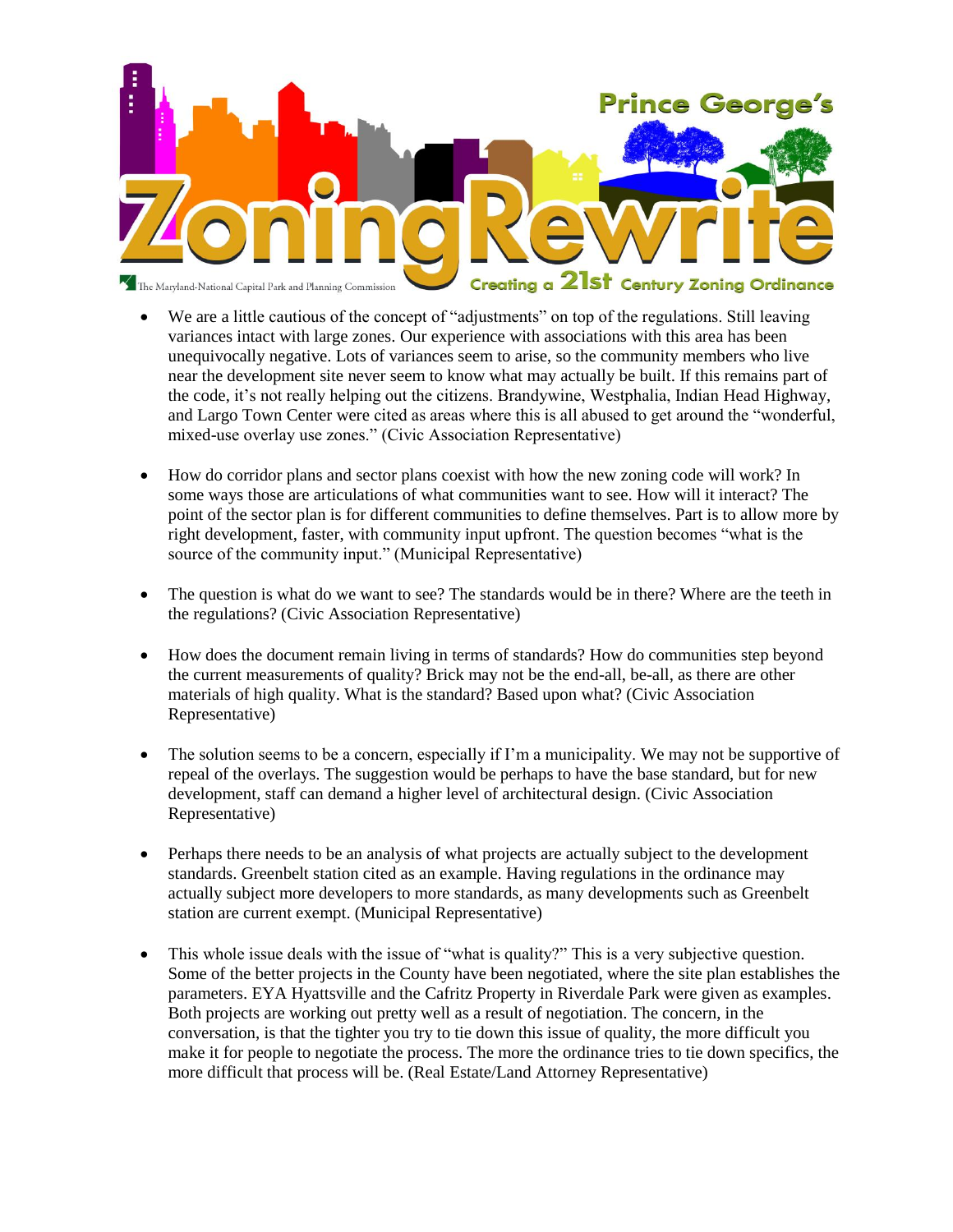

- We are a little cautious of the concept of "adjustments" on top of the regulations. Still leaving variances intact with large zones. Our experience with associations with this area has been unequivocally negative. Lots of variances seem to arise, so the community members who live near the development site never seem to know what may actually be built. If this remains part of the code, it's not really helping out the citizens. Brandywine, Westphalia, Indian Head Highway, and Largo Town Center were cited as areas where this is all abused to get around the "wonderful, mixed-use overlay use zones." (Civic Association Representative)
- How do corridor plans and sector plans coexist with how the new zoning code will work? In some ways those are articulations of what communities want to see. How will it interact? The point of the sector plan is for different communities to define themselves. Part is to allow more by right development, faster, with community input upfront. The question becomes "what is the source of the community input." (Municipal Representative)
- The question is what do we want to see? The standards would be in there? Where are the teeth in the regulations? (Civic Association Representative)
- How does the document remain living in terms of standards? How do communities step beyond the current measurements of quality? Brick may not be the end-all, be-all, as there are other materials of high quality. What is the standard? Based upon what? (Civic Association Representative)
- The solution seems to be a concern, especially if I'm a municipality. We may not be supportive of repeal of the overlays. The suggestion would be perhaps to have the base standard, but for new development, staff can demand a higher level of architectural design. (Civic Association Representative)
- Perhaps there needs to be an analysis of what projects are actually subject to the development standards. Greenbelt station cited as an example. Having regulations in the ordinance may actually subject more developers to more standards, as many developments such as Greenbelt station are current exempt. (Municipal Representative)
- This whole issue deals with the issue of "what is quality?" This is a very subjective question. Some of the better projects in the County have been negotiated, where the site plan establishes the parameters. EYA Hyattsville and the Cafritz Property in Riverdale Park were given as examples. Both projects are working out pretty well as a result of negotiation. The concern, in the conversation, is that the tighter you try to tie down this issue of quality, the more difficult you make it for people to negotiate the process. The more the ordinance tries to tie down specifics, the more difficult that process will be. (Real Estate/Land Attorney Representative)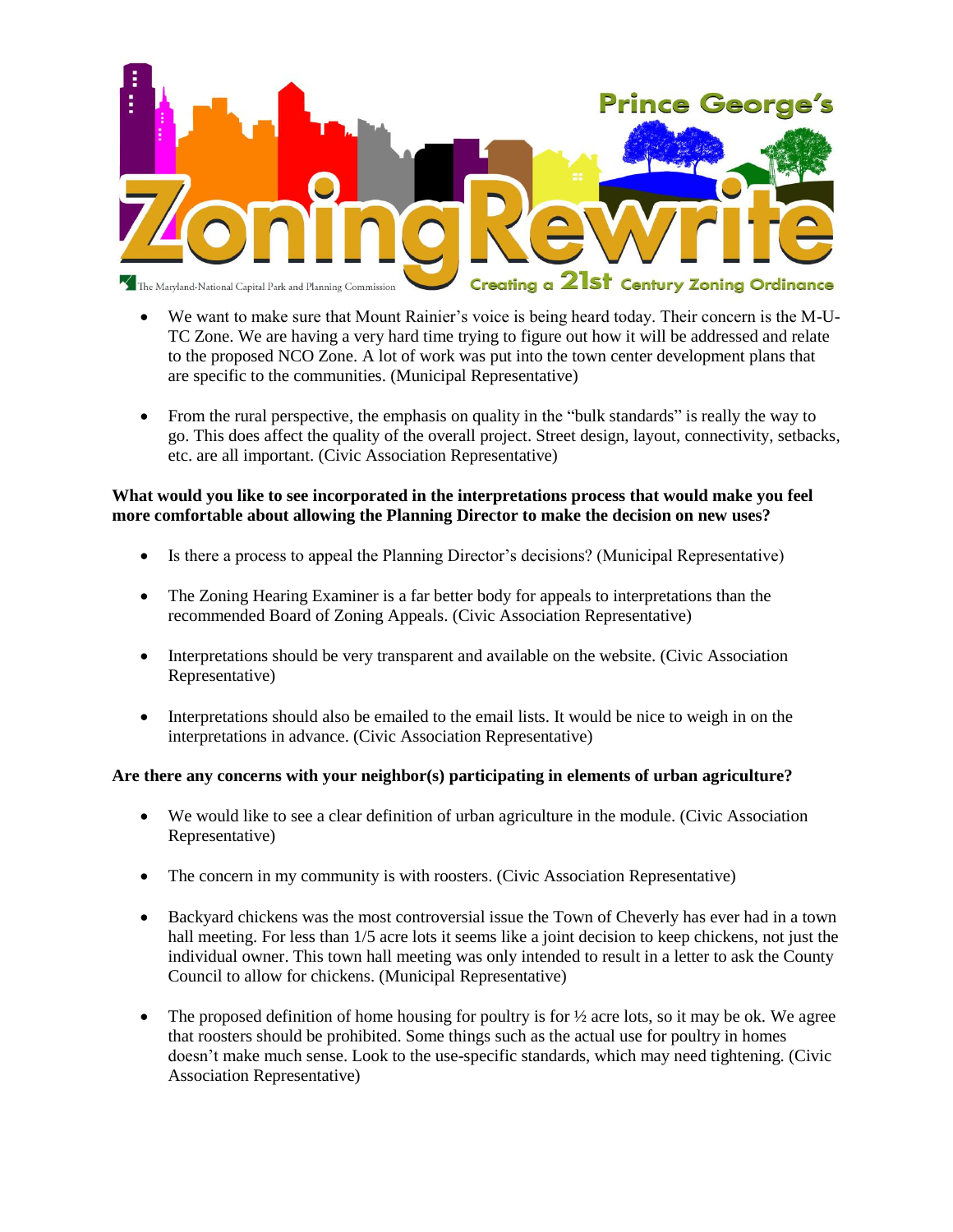

- We want to make sure that Mount Rainier's voice is being heard today. Their concern is the M-U-TC Zone. We are having a very hard time trying to figure out how it will be addressed and relate to the proposed NCO Zone. A lot of work was put into the town center development plans that are specific to the communities. (Municipal Representative)
- From the rural perspective, the emphasis on quality in the "bulk standards" is really the way to go. This does affect the quality of the overall project. Street design, layout, connectivity, setbacks, etc. are all important. (Civic Association Representative)

## **What would you like to see incorporated in the interpretations process that would make you feel more comfortable about allowing the Planning Director to make the decision on new uses?**

- Is there a process to appeal the Planning Director's decisions? (Municipal Representative)
- The Zoning Hearing Examiner is a far better body for appeals to interpretations than the recommended Board of Zoning Appeals. (Civic Association Representative)
- Interpretations should be very transparent and available on the website. (Civic Association Representative)
- Interpretations should also be emailed to the email lists. It would be nice to weigh in on the interpretations in advance. (Civic Association Representative)

# **Are there any concerns with your neighbor(s) participating in elements of urban agriculture?**

- We would like to see a clear definition of urban agriculture in the module. (Civic Association Representative)
- The concern in my community is with roosters. (Civic Association Representative)
- Backyard chickens was the most controversial issue the Town of Cheverly has ever had in a town hall meeting. For less than 1/5 acre lots it seems like a joint decision to keep chickens, not just the individual owner. This town hall meeting was only intended to result in a letter to ask the County Council to allow for chickens. (Municipal Representative)
- The proposed definition of home housing for poultry is for  $\frac{1}{2}$  acre lots, so it may be ok. We agree that roosters should be prohibited. Some things such as the actual use for poultry in homes doesn't make much sense. Look to the use-specific standards, which may need tightening. (Civic Association Representative)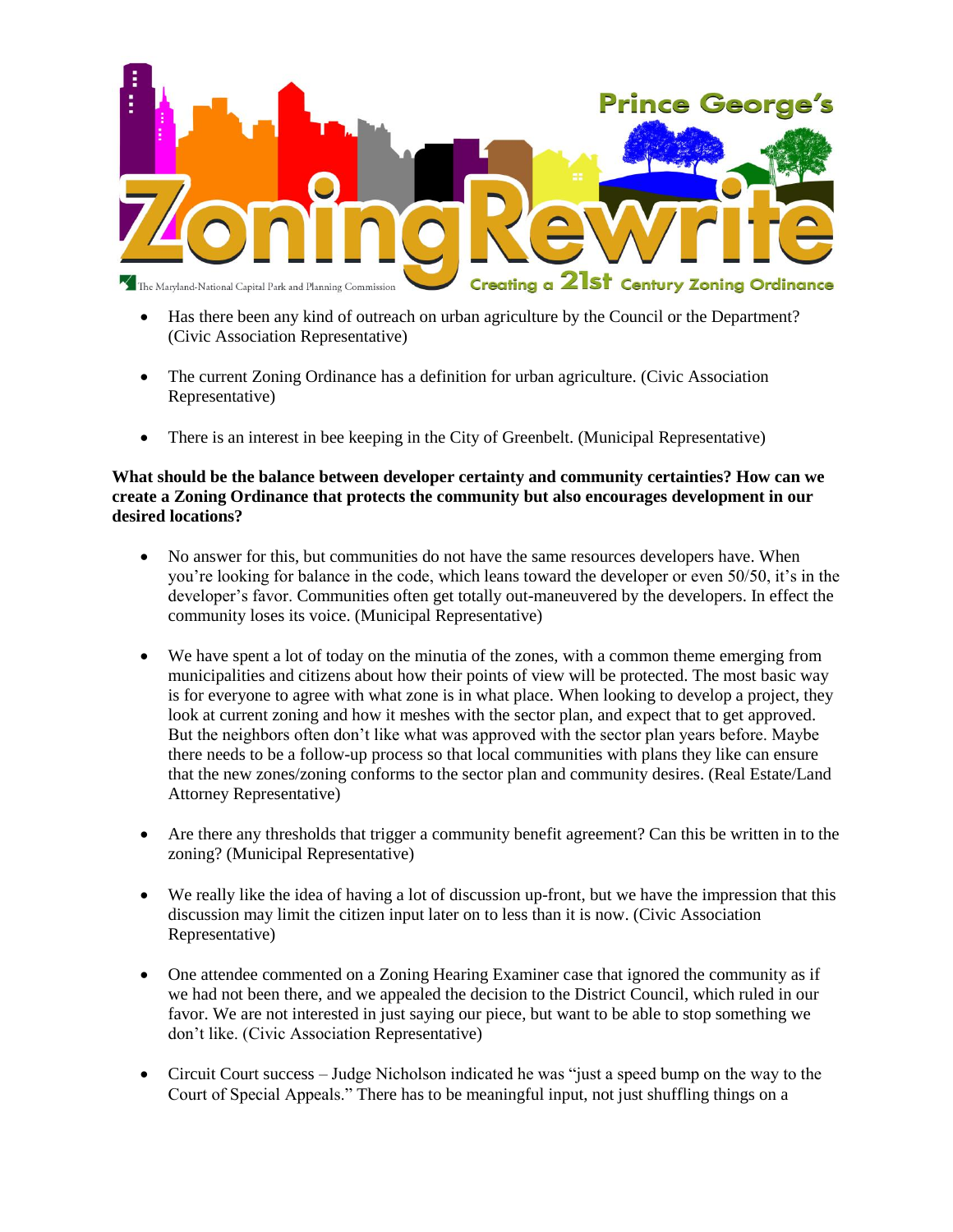

- Has there been any kind of outreach on urban agriculture by the Council or the Department? (Civic Association Representative)
- The current Zoning Ordinance has a definition for urban agriculture. (Civic Association Representative)
- There is an interest in bee keeping in the City of Greenbelt. (Municipal Representative)

### **What should be the balance between developer certainty and community certainties? How can we create a Zoning Ordinance that protects the community but also encourages development in our desired locations?**

- No answer for this, but communities do not have the same resources developers have. When you're looking for balance in the code, which leans toward the developer or even 50/50, it's in the developer's favor. Communities often get totally out-maneuvered by the developers. In effect the community loses its voice. (Municipal Representative)
- We have spent a lot of today on the minutia of the zones, with a common theme emerging from municipalities and citizens about how their points of view will be protected. The most basic way is for everyone to agree with what zone is in what place. When looking to develop a project, they look at current zoning and how it meshes with the sector plan, and expect that to get approved. But the neighbors often don't like what was approved with the sector plan years before. Maybe there needs to be a follow-up process so that local communities with plans they like can ensure that the new zones/zoning conforms to the sector plan and community desires. (Real Estate/Land Attorney Representative)
- Are there any thresholds that trigger a community benefit agreement? Can this be written in to the zoning? (Municipal Representative)
- We really like the idea of having a lot of discussion up-front, but we have the impression that this discussion may limit the citizen input later on to less than it is now. (Civic Association Representative)
- One attendee commented on a Zoning Hearing Examiner case that ignored the community as if we had not been there, and we appealed the decision to the District Council, which ruled in our favor. We are not interested in just saying our piece, but want to be able to stop something we don't like. (Civic Association Representative)
- Circuit Court success Judge Nicholson indicated he was "just a speed bump on the way to the Court of Special Appeals." There has to be meaningful input, not just shuffling things on a